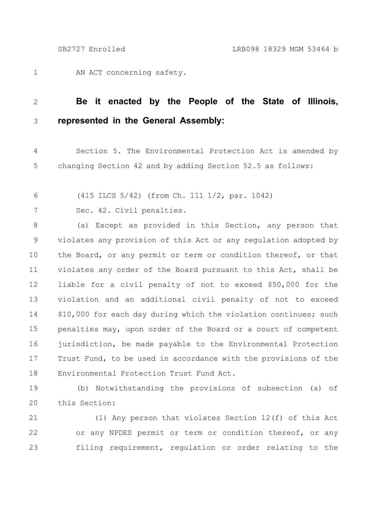1

AN ACT concerning safety.

## **Be it enacted by the People of the State of Illinois, represented in the General Assembly:** 2 3

Section 5. The Environmental Protection Act is amended by changing Section 42 and by adding Section 52.5 as follows: 4 5

(415 ILCS 5/42) (from Ch. 111 1/2, par. 1042) 6

Sec. 42. Civil penalties. 7

(a) Except as provided in this Section, any person that violates any provision of this Act or any regulation adopted by the Board, or any permit or term or condition thereof, or that violates any order of the Board pursuant to this Act, shall be liable for a civil penalty of not to exceed \$50,000 for the violation and an additional civil penalty of not to exceed \$10,000 for each day during which the violation continues; such penalties may, upon order of the Board or a court of competent jurisdiction, be made payable to the Environmental Protection Trust Fund, to be used in accordance with the provisions of the Environmental Protection Trust Fund Act. 8 9 10 11 12 13 14 15 16 17 18

19

(b) Notwithstanding the provisions of subsection (a) of this Section: 20

(1) Any person that violates Section 12(f) of this Act or any NPDES permit or term or condition thereof, or any filing requirement, regulation or order relating to the 21 22 23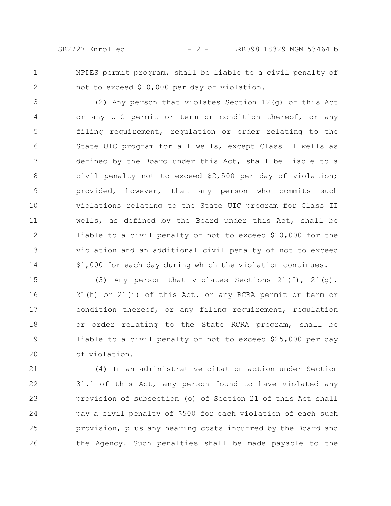1 2 NPDES permit program, shall be liable to a civil penalty of not to exceed \$10,000 per day of violation.

(2) Any person that violates Section 12(g) of this Act or any UIC permit or term or condition thereof, or any filing requirement, regulation or order relating to the State UIC program for all wells, except Class II wells as defined by the Board under this Act, shall be liable to a civil penalty not to exceed \$2,500 per day of violation; provided, however, that any person who commits such violations relating to the State UIC program for Class II wells, as defined by the Board under this Act, shall be liable to a civil penalty of not to exceed \$10,000 for the violation and an additional civil penalty of not to exceed \$1,000 for each day during which the violation continues. 3 4 5 6 7 8 9 10 11 12 13 14

(3) Any person that violates Sections  $21(f)$ ,  $21(g)$ , 21(h) or 21(i) of this Act, or any RCRA permit or term or condition thereof, or any filing requirement, regulation or order relating to the State RCRA program, shall be liable to a civil penalty of not to exceed \$25,000 per day of violation. 15 16 17 18 19 20

(4) In an administrative citation action under Section 31.1 of this Act, any person found to have violated any provision of subsection (o) of Section 21 of this Act shall pay a civil penalty of \$500 for each violation of each such provision, plus any hearing costs incurred by the Board and the Agency. Such penalties shall be made payable to the 21 22 23 24 25 26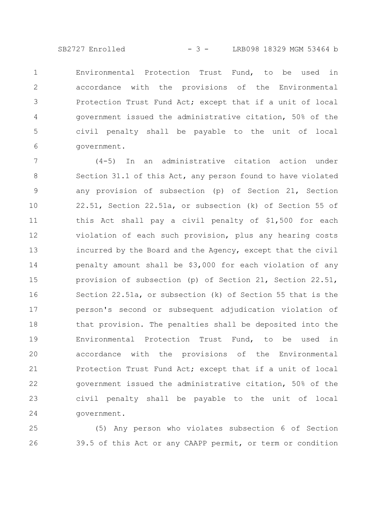SB2727 Enrolled - 3 - LRB098 18329 MGM 53464 b

Environmental Protection Trust Fund, to be used in accordance with the provisions of the Environmental Protection Trust Fund Act; except that if a unit of local government issued the administrative citation, 50% of the civil penalty shall be payable to the unit of local government. 1 2 3 4 5 6

(4-5) In an administrative citation action under Section 31.1 of this Act, any person found to have violated any provision of subsection (p) of Section 21, Section 22.51, Section 22.51a, or subsection (k) of Section 55 of this Act shall pay a civil penalty of \$1,500 for each violation of each such provision, plus any hearing costs incurred by the Board and the Agency, except that the civil penalty amount shall be \$3,000 for each violation of any provision of subsection (p) of Section 21, Section 22.51, Section 22.51a, or subsection (k) of Section 55 that is the person's second or subsequent adjudication violation of that provision. The penalties shall be deposited into the Environmental Protection Trust Fund, to be used in accordance with the provisions of the Environmental Protection Trust Fund Act; except that if a unit of local government issued the administrative citation, 50% of the civil penalty shall be payable to the unit of local government. 7 8 9 10 11 12 13 14 15 16 17 18 19 20 21 22 23 24

(5) Any person who violates subsection 6 of Section 39.5 of this Act or any CAAPP permit, or term or condition 25 26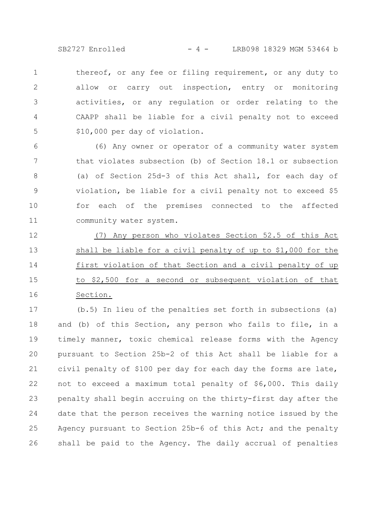SB2727 Enrolled - 4 - LRB098 18329 MGM 53464 b

thereof, or any fee or filing requirement, or any duty to allow or carry out inspection, entry or monitoring activities, or any regulation or order relating to the CAAPP shall be liable for a civil penalty not to exceed \$10,000 per day of violation. 1 2 3 4 5

(6) Any owner or operator of a community water system that violates subsection (b) of Section 18.1 or subsection (a) of Section 25d-3 of this Act shall, for each day of violation, be liable for a civil penalty not to exceed \$5 for each of the premises connected to the affected community water system. 6 7 8 9 10 11

(7) Any person who violates Section 52.5 of this Act shall be liable for a civil penalty of up to \$1,000 for the first violation of that Section and a civil penalty of up to \$2,500 for a second or subsequent violation of that Section. 12 13 14 15 16

(b.5) In lieu of the penalties set forth in subsections (a) and (b) of this Section, any person who fails to file, in a timely manner, toxic chemical release forms with the Agency pursuant to Section 25b-2 of this Act shall be liable for a civil penalty of \$100 per day for each day the forms are late, not to exceed a maximum total penalty of \$6,000. This daily penalty shall begin accruing on the thirty-first day after the date that the person receives the warning notice issued by the Agency pursuant to Section 25b-6 of this Act; and the penalty shall be paid to the Agency. The daily accrual of penalties 17 18 19 20 21 22 23 24 25 26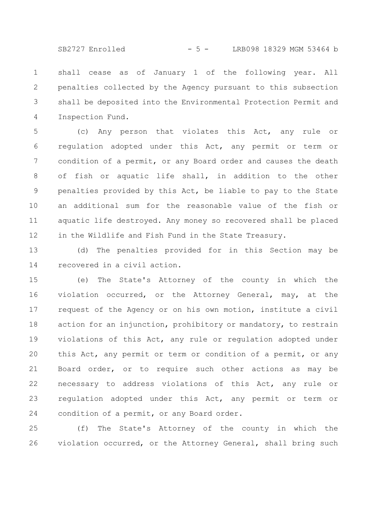SB2727 Enrolled - 5 - LRB098 18329 MGM 53464 b

shall cease as of January 1 of the following year. All penalties collected by the Agency pursuant to this subsection shall be deposited into the Environmental Protection Permit and Inspection Fund. 1 2 3 4

(c) Any person that violates this Act, any rule or regulation adopted under this Act, any permit or term or condition of a permit, or any Board order and causes the death of fish or aquatic life shall, in addition to the other penalties provided by this Act, be liable to pay to the State an additional sum for the reasonable value of the fish or aquatic life destroyed. Any money so recovered shall be placed in the Wildlife and Fish Fund in the State Treasury. 5 6 7 8 9 10 11 12

(d) The penalties provided for in this Section may be recovered in a civil action. 13 14

(e) The State's Attorney of the county in which the violation occurred, or the Attorney General, may, at the request of the Agency or on his own motion, institute a civil action for an injunction, prohibitory or mandatory, to restrain violations of this Act, any rule or regulation adopted under this Act, any permit or term or condition of a permit, or any Board order, or to require such other actions as may be necessary to address violations of this Act, any rule or regulation adopted under this Act, any permit or term or condition of a permit, or any Board order. 15 16 17 18 19 20 21 22 23 24

(f) The State's Attorney of the county in which the violation occurred, or the Attorney General, shall bring such 25 26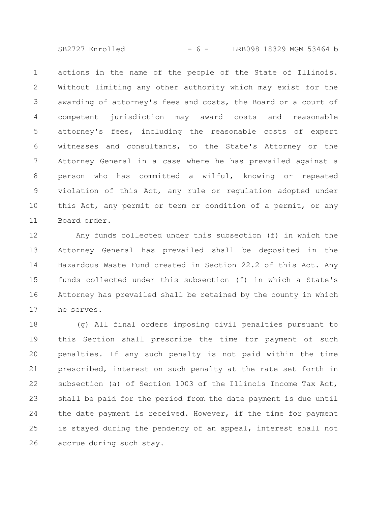SB2727 Enrolled - 6 - LRB098 18329 MGM 53464 b

actions in the name of the people of the State of Illinois. Without limiting any other authority which may exist for the awarding of attorney's fees and costs, the Board or a court of competent jurisdiction may award costs and reasonable attorney's fees, including the reasonable costs of expert witnesses and consultants, to the State's Attorney or the Attorney General in a case where he has prevailed against a person who has committed a wilful, knowing or repeated violation of this Act, any rule or regulation adopted under this Act, any permit or term or condition of a permit, or any Board order. 1 2 3 4 5 6 7 8 9 10 11

Any funds collected under this subsection (f) in which the Attorney General has prevailed shall be deposited in the Hazardous Waste Fund created in Section 22.2 of this Act. Any funds collected under this subsection (f) in which a State's Attorney has prevailed shall be retained by the county in which he serves. 12 13 14 15 16 17

(g) All final orders imposing civil penalties pursuant to this Section shall prescribe the time for payment of such penalties. If any such penalty is not paid within the time prescribed, interest on such penalty at the rate set forth in subsection (a) of Section 1003 of the Illinois Income Tax Act, shall be paid for the period from the date payment is due until the date payment is received. However, if the time for payment is stayed during the pendency of an appeal, interest shall not accrue during such stay. 18 19 20 21 22 23 24 25 26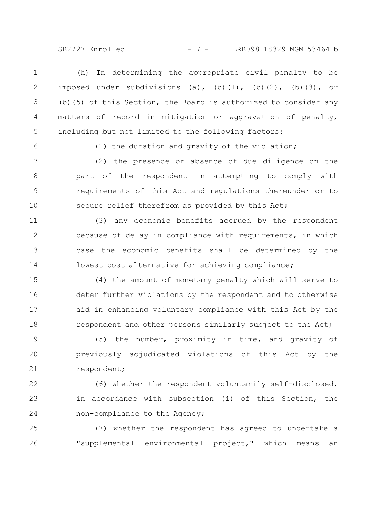SB2727 Enrolled - 7 - LRB098 18329 MGM 53464 b

(h) In determining the appropriate civil penalty to be imposed under subdivisions (a), (b)(1), (b)(2), (b)(3), or (b)(5) of this Section, the Board is authorized to consider any matters of record in mitigation or aggravation of penalty, including but not limited to the following factors: 1 2 3 4 5

6

(1) the duration and gravity of the violation;

(2) the presence or absence of due diligence on the part of the respondent in attempting to comply with requirements of this Act and regulations thereunder or to secure relief therefrom as provided by this Act; 7 8 9 10

(3) any economic benefits accrued by the respondent because of delay in compliance with requirements, in which case the economic benefits shall be determined by the lowest cost alternative for achieving compliance; 11 12 13 14

(4) the amount of monetary penalty which will serve to deter further violations by the respondent and to otherwise aid in enhancing voluntary compliance with this Act by the respondent and other persons similarly subject to the Act; 15 16 17 18

(5) the number, proximity in time, and gravity of previously adjudicated violations of this Act by the respondent; 19 20 21

(6) whether the respondent voluntarily self-disclosed, in accordance with subsection (i) of this Section, the non-compliance to the Agency; 22 23 24

(7) whether the respondent has agreed to undertake a "supplemental environmental project," which means an 25 26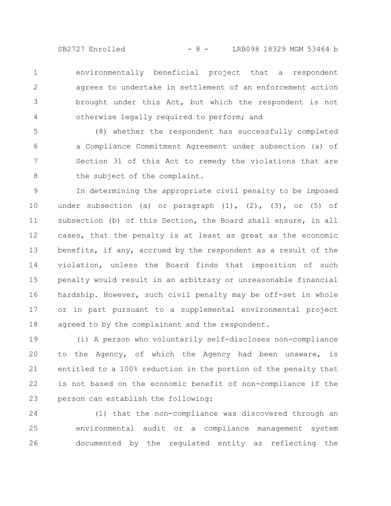SB2727 Enrolled - 8 - LRB098 18329 MGM 53464 b

environmentally beneficial project that a respondent agrees to undertake in settlement of an enforcement action brought under this Act, but which the respondent is not otherwise legally required to perform; and 1 2 3 4

(8) whether the respondent has successfully completed a Compliance Commitment Agreement under subsection (a) of Section 31 of this Act to remedy the violations that are the subject of the complaint. 5 6 7 8

In determining the appropriate civil penalty to be imposed under subsection (a) or paragraph  $(1)$ ,  $(2)$ ,  $(3)$ , or  $(5)$  of subsection (b) of this Section, the Board shall ensure, in all cases, that the penalty is at least as great as the economic benefits, if any, accrued by the respondent as a result of the violation, unless the Board finds that imposition of such penalty would result in an arbitrary or unreasonable financial hardship. However, such civil penalty may be off-set in whole or in part pursuant to a supplemental environmental project agreed to by the complainant and the respondent. 9 10 11 12 13 14 15 16 17 18

(i) A person who voluntarily self-discloses non-compliance to the Agency, of which the Agency had been unaware, is entitled to a 100% reduction in the portion of the penalty that is not based on the economic benefit of non-compliance if the person can establish the following: 19 20 21 22 23

(1) that the non-compliance was discovered through an environmental audit or a compliance management system documented by the regulated entity as reflecting the 24 25 26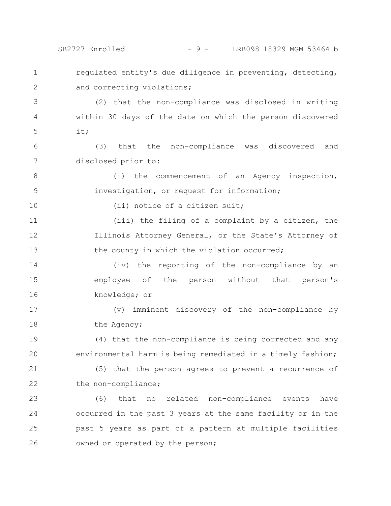SB2727 Enrolled - 9 - LRB098 18329 MGM 53464 b

regulated entity's due diligence in preventing, detecting, and correcting violations; 1 2

(2) that the non-compliance was disclosed in writing within 30 days of the date on which the person discovered it; 3 4 5

(3) that the non-compliance was discovered and disclosed prior to: 6 7

(i) the commencement of an Agency inspection, investigation, or request for information; 8 9

(ii) notice of a citizen suit;

(iii) the filing of a complaint by a citizen, the Illinois Attorney General, or the State's Attorney of the county in which the violation occurred; 11 12 13

(iv) the reporting of the non-compliance by an employee of the person without that person's knowledge; or 14 15 16

(v) imminent discovery of the non-compliance by the Agency; 17 18

(4) that the non-compliance is being corrected and any environmental harm is being remediated in a timely fashion; (5) that the person agrees to prevent a recurrence of 19 20 21

the non-compliance; 22

10

(6) that no related non-compliance events have occurred in the past 3 years at the same facility or in the past 5 years as part of a pattern at multiple facilities owned or operated by the person; 23 24 25 26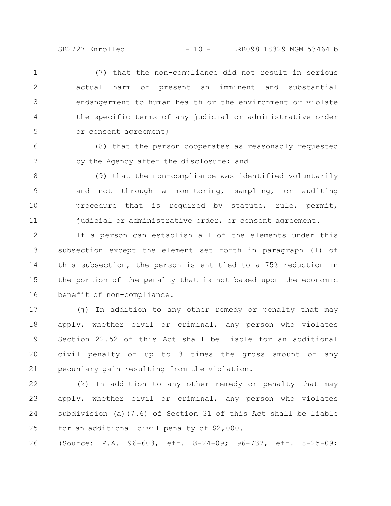(7) that the non-compliance did not result in serious actual harm or present an imminent and substantial endangerment to human health or the environment or violate the specific terms of any judicial or administrative order or consent agreement; 1 2 3 4 5

(8) that the person cooperates as reasonably requested by the Agency after the disclosure; and 6 7

(9) that the non-compliance was identified voluntarily and not through a monitoring, sampling, or auditing procedure that is required by statute, rule, permit, judicial or administrative order, or consent agreement. 8 9 10 11

If a person can establish all of the elements under this subsection except the element set forth in paragraph (1) of this subsection, the person is entitled to a 75% reduction in the portion of the penalty that is not based upon the economic benefit of non-compliance. 12 13 14 15 16

(j) In addition to any other remedy or penalty that may apply, whether civil or criminal, any person who violates Section 22.52 of this Act shall be liable for an additional civil penalty of up to 3 times the gross amount of any pecuniary gain resulting from the violation. 17 18 19 20 21

(k) In addition to any other remedy or penalty that may apply, whether civil or criminal, any person who violates subdivision (a)(7.6) of Section 31 of this Act shall be liable for an additional civil penalty of \$2,000. 22 23 24 25

(Source: P.A. 96-603, eff. 8-24-09; 96-737, eff. 8-25-09; 26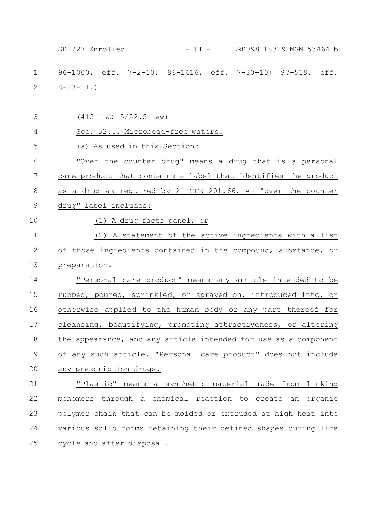96-1000, eff. 7-2-10; 96-1416, eff. 7-30-10; 97-519, eff.  $8 - 23 - 11.$ (415 ILCS 5/52.5 new) Sec. 52.5. Microbead-free waters. (a) As used in this Section: "Over the counter drug" means a drug that is a personal care product that contains a label that identifies the product as a drug as required by 21 CFR 201.66. An "over the counter drug" label includes: (1) A drug facts panel; or (2) A statement of the active ingredients with a list of those ingredients contained in the compound, substance, or preparation. "Personal care product" means any article intended to be rubbed, poured, sprinkled, or sprayed on, introduced into, or otherwise applied to the human body or any part thereof for cleansing, beautifying, promoting attractiveness, or altering the appearance, and any article intended for use as a component of any such article. "Personal care product" does not include any prescription drugs. "Plastic" means a synthetic material made from linking monomers through a chemical reaction to create an organic polymer chain that can be molded or extruded at high heat into various solid forms retaining their defined shapes during life cycle and after disposal. 1 2 3 4 5 6 7 8 9 10 11 12 13 14 15 16 17 18 19 20 21 22 23 24 25 SB2727 Enrolled - 11 - LRB098 18329 MGM 53464 b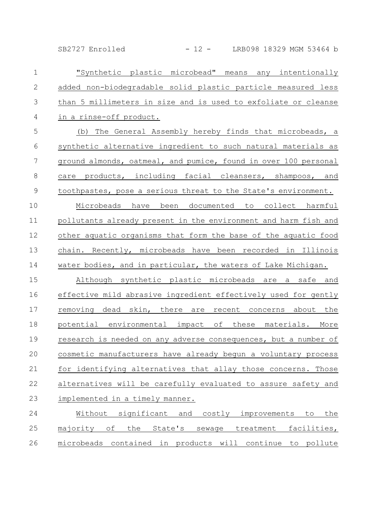SB2727 Enrolled - 12 - LRB098 18329 MGM 53464 b

| $\mathbf 1$    | "Synthetic plastic microbead" means any intentionally           |
|----------------|-----------------------------------------------------------------|
| $\mathbf{2}$   | added non-biodegradable solid plastic particle measured less    |
| 3              | than 5 millimeters in size and is used to exfoliate or cleanse  |
| 4              | in a rinse-off product.                                         |
| 5              | (b) The General Assembly hereby finds that microbeads, a        |
| $\sqrt{6}$     | synthetic alternative ingredient to such natural materials as   |
| $\overline{7}$ | ground almonds, oatmeal, and pumice, found in over 100 personal |
| $\,8\,$        | care products, including facial cleansers, shampoos, and        |
| $\mathcal{G}$  | toothpastes, pose a serious threat to the State's environment.  |
| 10             | Microbeads have been documented to collect harmful              |
| 11             | pollutants already present in the environment and harm fish and |
| 12             | other aquatic organisms that form the base of the aquatic food  |
| 13             | chain. Recently, microbeads have been recorded in Illinois      |
| 14             | water bodies, and in particular, the waters of Lake Michigan.   |
| 15             | Although synthetic plastic microbeads are a safe and            |
| 16             | effective mild abrasive ingredient effectively used for gently  |
| 17             | removing dead skin, there are recent concerns about the         |
| 18             | potential environmental impact of these materials. More         |
| 19             | research is needed on any adverse consequences, but a number of |
| 20             | cosmetic manufacturers have already begun a voluntary process   |
| 21             | for identifying alternatives that allay those concerns. Those   |
| 22             | alternatives will be carefully evaluated to assure safety and   |
| 23             | implemented in a timely manner.                                 |
| 24             | Without significant and<br>costly improvements to<br>the        |
| 25             | majority of the State's sewage treatment<br>facilities,         |
| 26             | microbeads contained in products will continue to pollute       |